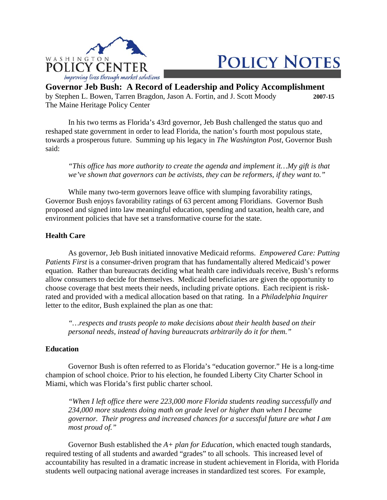

# **POLICY NOTES**

**Governor Jeb Bush: A Record of Leadership and Policy Accomplishment**  by Stephen L. Bowen, Tarren Bragdon, Jason A. Fortin, and J. Scott Moody **2007-15**  The Maine Heritage Policy Center

 In his two terms as Florida's 43rd governor, Jeb Bush challenged the status quo and reshaped state government in order to lead Florida, the nation's fourth most populous state, towards a prosperous future. Summing up his legacy in *The Washington Post*, Governor Bush said:

 *"This office has more authority to create the agenda and implement it…My gift is that we've shown that governors can be activists, they can be reformers, if they want to."*

 While many two-term governors leave office with slumping favorability ratings, Governor Bush enjoys favorability ratings of 63 percent among Floridians. Governor Bush proposed and signed into law meaningful education, spending and taxation, health care, and environment policies that have set a transformative course for the state.

## **Health Care**

 As governor, Jeb Bush initiated innovative Medicaid reforms. *Empowered Care: Putting Patients First* is a consumer-driven program that has fundamentally altered Medicaid's power equation. Rather than bureaucrats deciding what health care individuals receive, Bush's reforms allow consumers to decide for themselves. Medicaid beneficiaries are given the opportunity to choose coverage that best meets their needs, including private options. Each recipient is riskrated and provided with a medical allocation based on that rating. In a *Philadelphia Inquirer* letter to the editor, Bush explained the plan as one that:

 *"…respects and trusts people to make decisions about their health based on their personal needs, instead of having bureaucrats arbitrarily do it for them."*

## **Education**

 Governor Bush is often referred to as Florida's "education governor." He is a long-time champion of school choice. Prior to his election, he founded Liberty City Charter School in Miami, which was Florida's first public charter school.

 *"When I left office there were 223,000 more Florida students reading successfully and 234,000 more students doing math on grade level or higher than when I became governor. Their progress and increased chances for a successful future are what I am most proud of."*

 Governor Bush established the *A+ plan for Education*, which enacted tough standards, required testing of all students and awarded "grades" to all schools. This increased level of accountability has resulted in a dramatic increase in student achievement in Florida, with Florida students well outpacing national average increases in standardized test scores. For example,